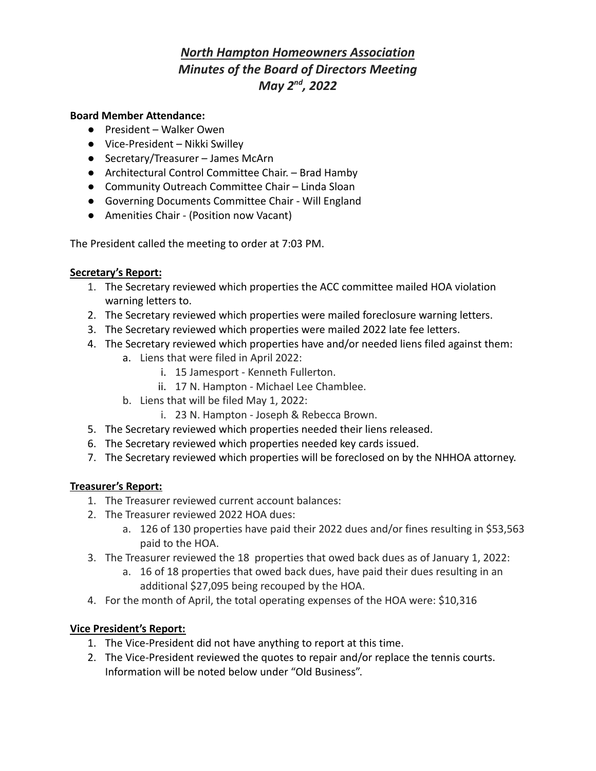# *North Hampton Homeowners Association Minutes of the Board of Directors Meeting May 2nd , 2022*

#### **Board Member Attendance:**

- President Walker Owen
- Vice-President Nikki Swilley
- Secretary/Treasurer James McArn
- Architectural Control Committee Chair. Brad Hamby
- Community Outreach Committee Chair Linda Sloan
- Governing Documents Committee Chair Will England
- Amenities Chair (Position now Vacant)

The President called the meeting to order at 7:03 PM.

## **Secretary's Report:**

- 1. The Secretary reviewed which properties the ACC committee mailed HOA violation warning letters to.
- 2. The Secretary reviewed which properties were mailed foreclosure warning letters.
- 3. The Secretary reviewed which properties were mailed 2022 late fee letters.
- 4. The Secretary reviewed which properties have and/or needed liens filed against them:
	- a. Liens that were filed in April 2022:
		- i. 15 Jamesport Kenneth Fullerton.
		- ii. 17 N. Hampton Michael Lee Chamblee.
	- b. Liens that will be filed May 1, 2022:
		- i. 23 N. Hampton Joseph & Rebecca Brown.
- 5. The Secretary reviewed which properties needed their liens released.
- 6. The Secretary reviewed which properties needed key cards issued.
- 7. The Secretary reviewed which properties will be foreclosed on by the NHHOA attorney.

## **Treasurer's Report:**

- 1. The Treasurer reviewed current account balances:
- 2. The Treasurer reviewed 2022 HOA dues:
	- a. 126 of 130 properties have paid their 2022 dues and/or fines resulting in \$53,563 paid to the HOA.
- 3. The Treasurer reviewed the 18 properties that owed back dues as of January 1, 2022:
	- a. 16 of 18 properties that owed back dues, have paid their dues resulting in an additional \$27,095 being recouped by the HOA.
- 4. For the month of April, the total operating expenses of the HOA were: \$10,316

## **Vice President's Report:**

- 1. The Vice-President did not have anything to report at this time.
- 2. The Vice-President reviewed the quotes to repair and/or replace the tennis courts. Information will be noted below under "Old Business".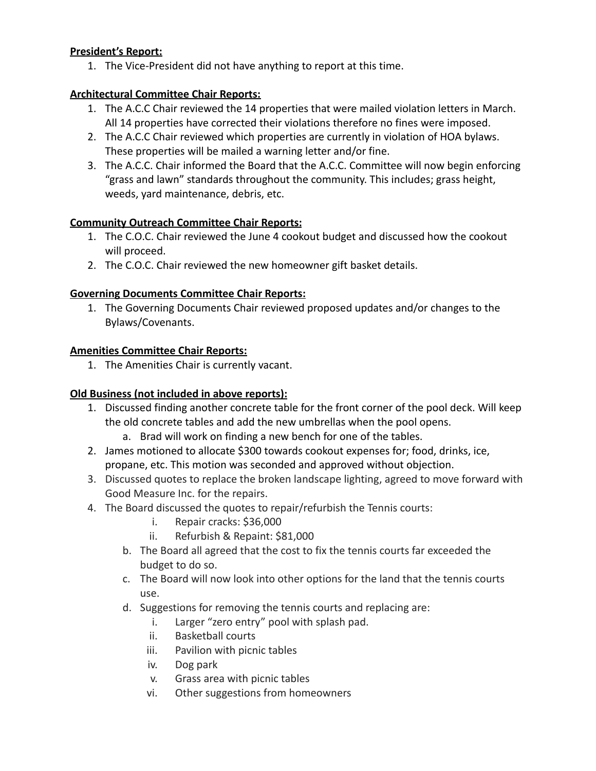## **President's Report:**

1. The Vice-President did not have anything to report at this time.

## **Architectural Committee Chair Reports:**

- 1. The A.C.C Chair reviewed the 14 properties that were mailed violation letters in March. All 14 properties have corrected their violations therefore no fines were imposed.
- 2. The A.C.C Chair reviewed which properties are currently in violation of HOA bylaws. These properties will be mailed a warning letter and/or fine.
- 3. The A.C.C. Chair informed the Board that the A.C.C. Committee will now begin enforcing "grass and lawn" standards throughout the community. This includes; grass height, weeds, yard maintenance, debris, etc.

## **Community Outreach Committee Chair Reports:**

- 1. The C.O.C. Chair reviewed the June 4 cookout budget and discussed how the cookout will proceed.
- 2. The C.O.C. Chair reviewed the new homeowner gift basket details.

## **Governing Documents Committee Chair Reports:**

1. The Governing Documents Chair reviewed proposed updates and/or changes to the Bylaws/Covenants.

## **Amenities Committee Chair Reports:**

1. The Amenities Chair is currently vacant.

## **Old Business (not included in above reports):**

- 1. Discussed finding another concrete table for the front corner of the pool deck. Will keep the old concrete tables and add the new umbrellas when the pool opens.
	- a. Brad will work on finding a new bench for one of the tables.
- 2. James motioned to allocate \$300 towards cookout expenses for; food, drinks, ice, propane, etc. This motion was seconded and approved without objection.
- 3. Discussed quotes to replace the broken landscape lighting, agreed to move forward with Good Measure Inc. for the repairs.
- 4. The Board discussed the quotes to repair/refurbish the Tennis courts:
	- i. Repair cracks: \$36,000
	- ii. Refurbish & Repaint: \$81,000
	- b. The Board all agreed that the cost to fix the tennis courts far exceeded the budget to do so.
	- c. The Board will now look into other options for the land that the tennis courts use.
	- d. Suggestions for removing the tennis courts and replacing are:
		- i. Larger "zero entry" pool with splash pad.
		- ii. Basketball courts
		- iii. Pavilion with picnic tables
		- iv. Dog park
		- v. Grass area with picnic tables
		- vi. Other suggestions from homeowners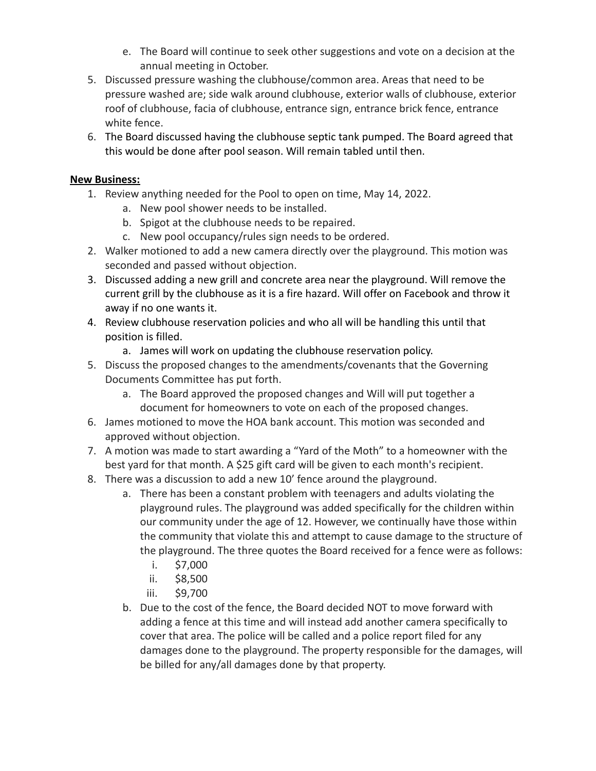- e. The Board will continue to seek other suggestions and vote on a decision at the annual meeting in October.
- 5. Discussed pressure washing the clubhouse/common area. Areas that need to be pressure washed are; side walk around clubhouse, exterior walls of clubhouse, exterior roof of clubhouse, facia of clubhouse, entrance sign, entrance brick fence, entrance white fence.
- 6. The Board discussed having the clubhouse septic tank pumped. The Board agreed that this would be done after pool season. Will remain tabled until then.

## **New Business:**

- 1. Review anything needed for the Pool to open on time, May 14, 2022.
	- a. New pool shower needs to be installed.
	- b. Spigot at the clubhouse needs to be repaired.
	- c. New pool occupancy/rules sign needs to be ordered.
- 2. Walker motioned to add a new camera directly over the playground. This motion was seconded and passed without objection.
- 3. Discussed adding a new grill and concrete area near the playground. Will remove the current grill by the clubhouse as it is a fire hazard. Will offer on Facebook and throw it away if no one wants it.
- 4. Review clubhouse reservation policies and who all will be handling this until that position is filled.
	- a. James will work on updating the clubhouse reservation policy.
- 5. Discuss the proposed changes to the amendments/covenants that the Governing Documents Committee has put forth.
	- a. The Board approved the proposed changes and Will will put together a document for homeowners to vote on each of the proposed changes.
- 6. James motioned to move the HOA bank account. This motion was seconded and approved without objection.
- 7. A motion was made to start awarding a "Yard of the Moth" to a homeowner with the best yard for that month. A \$25 gift card will be given to each month's recipient.
- 8. There was a discussion to add a new 10' fence around the playground.
	- a. There has been a constant problem with teenagers and adults violating the playground rules. The playground was added specifically for the children within our community under the age of 12. However, we continually have those within the community that violate this and attempt to cause damage to the structure of the playground. The three quotes the Board received for a fence were as follows:
		- i. \$7,000
		- ii. \$8,500
		- iii. \$9,700
	- b. Due to the cost of the fence, the Board decided NOT to move forward with adding a fence at this time and will instead add another camera specifically to cover that area. The police will be called and a police report filed for any damages done to the playground. The property responsible for the damages, will be billed for any/all damages done by that property.